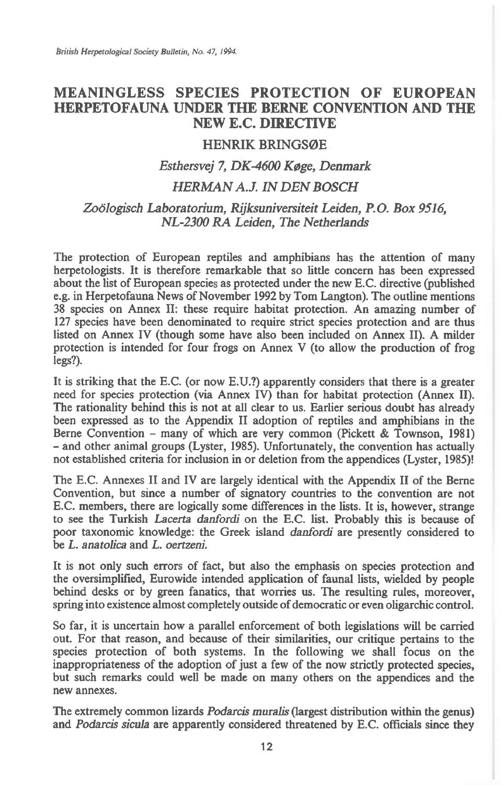# **MEANINGLESS SPECIES PROTECTION OF EUROPEAN HERPETOFAUNA UNDER THE BERNE CONVENTION AND THE NEW E.C. DIRECTIVE**

#### **HENRIK BRINGSOE**

### *Esthersvej 7, DK-4600 Koge, Denmark*

#### *HERMAN A.J. IN DEN BOSCH*

#### *Zoologisch Laboratorium, Rijksuniversiteit Leiden, P.O. Box 9516, NL-2300 RA Leiden, The Netherlands*

The protection of European reptiles and amphibians has the attention of many herpetologists. It is therefore remarkable that so little concern has been expressed about the list of European species as protected under the new E.C. directive (published e.g. in Herpetofauna News of November 1992 by Tom Langton). The outline mentions 38 species on Annex II: these require habitat protection. An amazing number of 127 species have been denominated to require strict species protection and are thus listed on Annex IV (though some have also been included on Annex II). A milder protection is intended for four frogs on Annex V (to allow the production of frog legs?).

It is striking that the E.C. (or now E.U.?) apparently considers that there is a greater need for species protection (via Annex IV) than for habitat protection (Annex II). The rationality behind this is not at all clear to us. Earlier serious doubt has already been expressed as to the Appendix II adoption of reptiles and amphibians in the Berne Convention – many of which are very common (Pickett & Townson, 1981) - and other animal groups (Lyster, 1985). Unfortunately, the convention has actually not established criteria for inclusion in or deletion from the appendices (Lyster, 1985)!

The E.C. Annexes II and IV are largely identical with the Appendix II of the Berne Convention, but since a number of signatory countries to the convention are not E.C. members, there are logically some differences in the lists. It is, however, strange to see the Turkish *Lacerta danfordi* on the E.C. list. Probably this is because of poor taxonomic knowledge: the Greek island *danfordi* are presently considered to be *L. anatolica* and *L. oertzeni.* 

It is not only such errors of fact, but also the emphasis on species protection and the oversimplified, Eurowide intended application of faunal lists, wielded by people behind desks or by green fanatics, that worries us. The resulting rules, moreover, spring into existence almost completely outside of democratic or even oligarchic control.

So far, it is uncertain how a parallel enforcement of both legislations will be carried out. For that reason, and because of their similarities, our critique pertains to the species protection of both systems. In the following we shall focus on the inappropriateness of the adoption of just a few of the now strictly protected species, but such remarks could well be made on many others on the appendices and the new annexes.

The extremely common lizards *Podarcis muralis* (largest distribution within the genus) and *Podarcis sicula* are apparently considered threatened by E.C. officials since they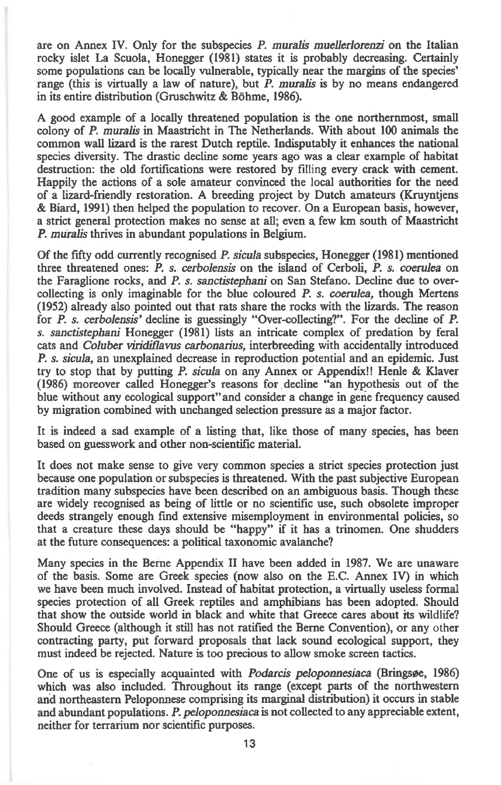are on Annex IV. Only for the subspecies *P. muralis muellerlorenzi* on the Italian rocky islet La Scuola, Honegger (1981) states it is probably decreasing. Certainly some populations can be locally vulnerable, typically near the margins of the species' range (this is virtually a law of nature), but *P. muralis* is by no means endangered in its entire distribution (Gruschwitz & Bohme, 1986).

A good example of a locally threatened population is the one northernmost, small colony of *P. muralis* in Maastricht in The Netherlands. With about 100 animals the common wall lizard is the rarest Dutch reptile. Indisputably it enhances the national species diversity. The drastic decline some years ago was a clear example of habitat destruction: the old fortifications were restored by filling every crack with cement. Happily the actions of a sole amateur convinced the local authorities for the need of a lizard-friendly restoration. A breeding project by Dutch amateurs (Kruyntjens & Biard, 1991) then helped the population to recover. On a European basis, however, a strict general protection makes no sense at all; even a few km south of Maastricht *P. muralis* thrives in abundant populations in Belgium.

Of the fifty odd currently recognised *P. sicula* subspecies, Honegger (1981) mentioned three threatened ones: *P. s. cerbolensis* on the island of Cerboli, *P. s. coerulea* on the Faraglione rocks, and *P. s. sanctistephani* on San Stefano. Decline due to overcollecting is only imaginable for the blue coloured *P. s. coerulea,* though Mertens (1952) already also pointed out that rats share the rocks with the lizards. The reason for *P. s. cerbolensis'* decline is guessingly "Over-collecting?". For the decline of *P. s. sanctistephani* Honegger (1981) lists an intricate complex of predation by feral cats and *Coluber viridiflavus carbonarius,* interbreeding with accidentally introduced *P. s. sicula,* an unexplained decrease in reproduction potential and an epidemic. Just try to stop that by putting *P. sicula* on any Annex or Appendix!! Henle & Klaver (1986) moreover called Honegger's reasons for decline "an hypothesis out of the blue without any ecological support" and consider a change in gene frequency caused by migration combined with unchanged selection pressure as a major factor.

It is indeed a sad example of a listing that, like those of many species, has been based on guesswork and other non-scientific material.

It does not make sense to give very common species a strict species protection just because one population or subspecies is threatened. With the past subjective European tradition many subspecies have been described on an ambiguous basis. Though these are widely recognised as being of little or no scientific use, such obsolete improper deeds strangely enough fmd extensive misemployment in environmental policies, so that a creature these days should be "happy" if it has a trinomen. One shudders at the future consequences: a political taxonomic avalanche?

Many species in the Berne Appendix II have been added in 1987. We are unaware of the basis. Some are Greek species (now also on the E.C. Annex IV) in which we have been much involved. Instead of habitat protection, a virtually useless formal species protection of all Greek reptiles and amphibians has been adopted. Should that show the outside world in black and white that Greece cares about *its* wildlife? Should Greece (although it still has not ratified the Berne Convention), or any other contracting party, put forward proposals that lack sound ecological support, they must indeed be rejected. Nature is too precious to allow smoke screen tactics.

One of us is especially acquainted with *Podarcis peloponnesiaca* (Bringsoe, 1986) which was also included. Throughout its range (except parts of the northwestern and northeastern Peloponnese comprising its marginal distribution) it occurs in stable and abundant populations. *P. peloponnesiaca* is not collected to any appreciable extent, neither for terrarium nor scientific purposes.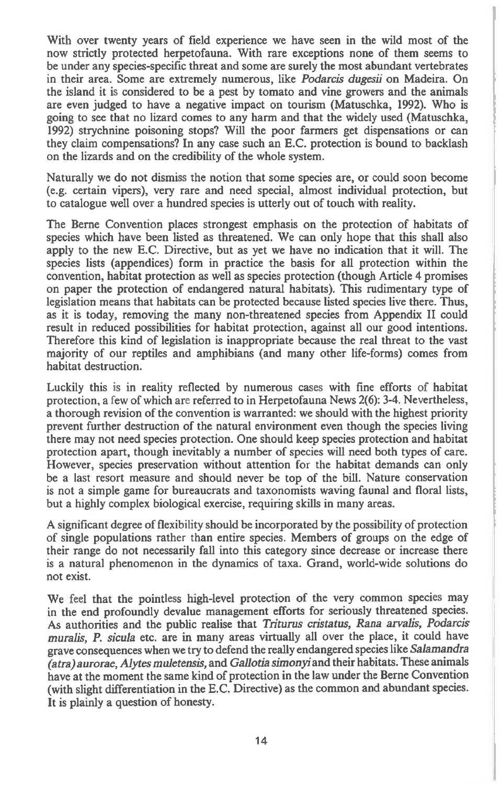With over twenty years of field experience we have seen in the wild most of the now strictly protected herpetofauna. With rare exceptions none of them seems to be under any species-specific threat and some are surely the most abundant vertebrates in their area. Some are extremely numerous, like *Podarcis dugesii* on Madeira. On the island it is considered to be a pest by tomato and vine growers and the animals are even judged to have a negative impact on tourism (Matuschka, 1992). Who is going to see that no lizard comes to any harm and that the widely used (Matuschka, 1992) strychnine poisoning stops? Will the poor farmers get dispensations or can they claim compensations? In any case such an E.C. protection is bound to backlash on the lizards and on the credibility of the whole system.

Naturally we do not dismiss the notion that some species are, or could soon become (e.g. certain vipers), very rare and need special, almost individual protection, but to catalogue well over a hundred species is utterly out of touch with reality.

The Berne Convention places strongest emphasis on the protection of habitats of species which have been listed as threatened. We can only hope that this shall also apply to the new E.C. Directive, but as yet we have no indication that it will. The species lists (appendices) form in practice the basis for all protection within the convention, habitat protection as well as species protection (though Article 4 promises on paper the protection of endangered natural habitats). This rudimentary type of legislation means that habitats can be protected because listed species live there. Thus, as it is today, removing the many non-threatened species from Appendix II could result in reduced possibilities for habitat protection, against all our good intentions. Therefore this kind of legislation is inappropriate because the real threat to the vast majority of our reptiles and amphibians (and many other life-forms) comes from habitat destruction.

Luckily this is in reality reflected by numerous cases with fine efforts of habitat protection, a few of which are referred to in Herpetofauna News 2(6): 3-4. Nevertheless, a thorough revision of the convention is warranted: we should with the highest priority prevent further destruction of the natural environment even though the species living there may not need species protection. One should keep species protection and habitat protection apart, though inevitably a number of species will need both types of care. However, species preservation without attention for the habitat demands can only be a last resort measure and should never be top of the bill. Nature conservation is not a simple game for bureaucrats and taxonomists waving faunal and floral lists, but a highly complex biological exercise, requiring skills in many areas.

A significant degree of flexibility should be incorporated by the possibility of protection of single populations rather than entire species. Members of groups on the edge of their range do not necessarily fall into this category since decrease or increase there is a natural phenomenon in the dynamics of taxa. Grand, world-wide solutions do not exist.

We feel that the pointless high-level protection of the very common species may in the end profoundly devalue management efforts for seriously threatened species. As authorities and the public realise that *Triturus cristatus, Rana arvalis, Podarcis muralis, P. sicula etc. are in* many areas virtually all over the place, it could have grave consequences when we try to defend the really endangered species like *Salamandra (atra) aurorae, Alytes muletensis,* and *Gallotia simonyi* and their habitats. These animals have at the moment the same kind of protection in the law under the Berne Convention (with slight differentiation in the E.C. Directive) as the common and abundant species. It is plainly a question of honesty.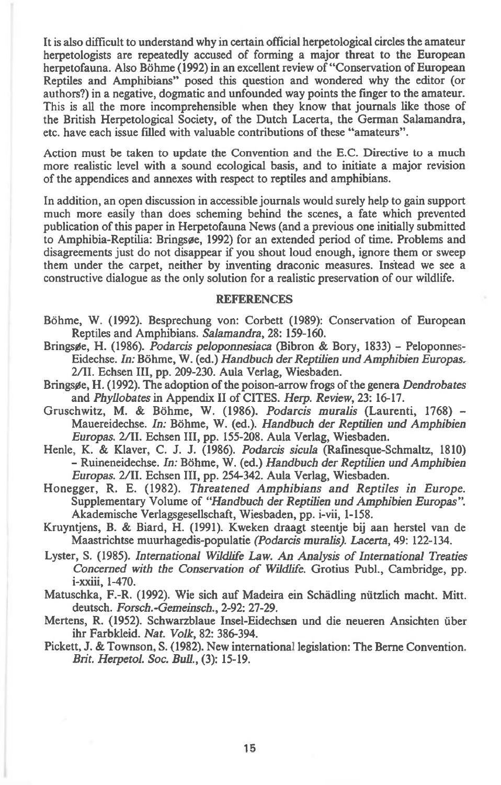**It is also difficult to understand why in certain official herpetological circles the amateur herpetologists are repeatedly accused of forming a major threat to the European**  herpetofauna. Also Böhme (1992) in an excellent review of "Conservation of European **Reptiles and Amphibians" posed this question and wondered why the editor (or authors?) in a negative, dogmatic and unfounded way points the finger to the amateur. This is all the more incomprehensible when they know that journals like those of the British Herpetological Society, of the Dutch Lacerta, the German Salamandra, etc. have each issue filled with valuable contributions of these "amateurs".** 

**Action must be taken to update the Convention and the E.C. Directive to a much more realistic level with a sound ecological basis, and to initiate a major revision of the appendices and annexes with respect to reptiles and amphibians.** 

**In addition, an open discussion in accessible journals would surely help to gain support much more easily than does scheming behind the scenes, a fate which prevented publication of this paper in Herpetofauna News (and a previous one initially submitted**  to Amphibia-Reptilia: Bringsøe, 1992) for an extended period of time. Problems and **disagreements just do not disappear if you shout loud enough, ignore them or sweep them under the carpet, neither by inventing draconic measures. Initead we see a constructive dialogue as the only solution for a realistic preservation of our wildlife.** 

#### **REFERENCES**

- **Bohme, W. (1992). Besprechung von: Corbett (1989): Conservation of European Reptiles and Amphibians.** *Salamandra,* **28: 159-160.**
- Bringsøe, H. (1986). *Podarcis peloponnesiaca* (Bibron & Bory, 1833) Peloponnes-Eidechse. In: Böhme, W. (ed.) *Handbuch der Reptilien und Amphibien Europas.* **2/II. Echsen III, pp. 209-230. Aula Verlag, Wiesbaden.**
- Bringsøe, H. (1992). The adoption of the poison-arrow frogs of the genera *Dendrobates* and *Phyllobates* in Appendix II of CITES. *Herp. Review*, 23: 16-17.
- Gruschwitz, M. & Böhme, W. (1986). *Podarcis muralis* (Laurenti, 1768) -**Mauereidechse.** *In:* **B6hme, W. (ed.).** *Handbuch der Reptilien und Amphibien Europas.* **2/II. Echsen III, pp. 155-208. Aula Verlag, Wiesbaden.**
- **Henle, K. & Klaver, C. J. J. (1986).** *Podarcis sicula* **(Rafinesque-Schmaltz, 1810) - Ruineneidechse.** *In:* **B6hme, W. (ed.)** *Handbuch der Reptilien und Amphibien Europas.* **2/II. Echsen III, pp. 254-342. Aula Verlag, Wiesbaden.**
- **Honegger, R. E. (1982).** *Threatened Amphibians and Reptiles in Europe.*  **Supplementary Volume of** *"Handbuch der Reptilien und Amphibien Europas".*  **Akademische Verlagsgesellschaft, Wiesbaden, pp. i-vii, 1-158.**
- **Kruyntjens, B. & Biard, H. (1991). Kweken draagt steentje bij aan herstel van de Maastrichtse muurhagedis-populatie** *(Podarcis muralis). Lacerta,* **49: 122-134.**
- **Lyster, S. (1985).** *International Wildlife Law. An Analysis of International Treaties Concerned with the Conservation of Wildlife.* **Grotius Publ., Cambridge, pp. i-xxiii, 1-470.**
- **Matuschka, F.-R. (1992). Wie sich auf Madeira ein Schadling niitzlich macht. Mitt. deutsch.** *Forsch.-Gemeinsch.,* **2-92: 27-29.**
- Mertens, R. (1952). Schwarzblaue Insel-Eidechsen und die neueren Ansichten über **ihr Farbkleid.** *Nat. Volk,* **82: 386-394.**
- **Pickett, J. & Townson, S. (1982). New international legislation: The Berne Convention.**  *Brit. Herpetol. Soc. Bull.,* **(3): 15-19.**